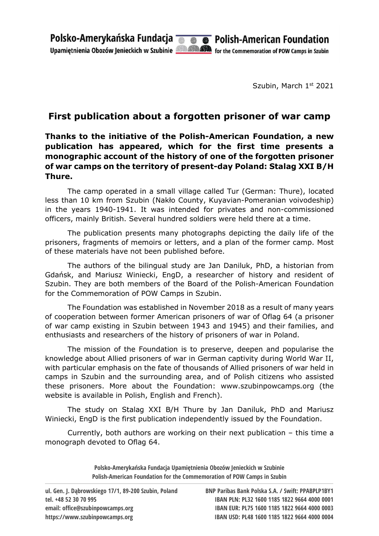Szubin, March 1st 2021

## First publication about a forgotten prisoner of war camp

Thanks to the initiative of the Polish-American Foundation, a new publication has appeared, which for the first time presents a monographic account of the history of one of the forgotten prisoner of war camps on the territory of present-day Poland: Stalag XXI B/H Thure.

The camp operated in a small village called Tur (German: Thure), located less than 10 km from Szubin (Nakło County, Kuyavian-Pomeranian voivodeship) in the years 1940-1941. It was intended for privates and non-commissioned officers, mainly British. Several hundred soldiers were held there at a time.

The publication presents many photographs depicting the daily life of the prisoners, fragments of memoirs or letters, and a plan of the former camp. Most of these materials have not been published before.

The authors of the bilingual study are Jan Daniluk, PhD, a historian from Gdańsk, and Mariusz Winiecki, EngD, a researcher of history and resident of Szubin. They are both members of the Board of the Polish-American Foundation for the Commemoration of POW Camps in Szubin.

The Foundation was established in November 2018 as a result of many years of cooperation between former American prisoners of war of Oflag 64 (a prisoner of war camp existing in Szubin between 1943 and 1945) and their families, and enthusiasts and researchers of the history of prisoners of war in Poland.

The mission of the Foundation is to preserve, deepen and popularise the knowledge about Allied prisoners of war in German captivity during World War II, with particular emphasis on the fate of thousands of Allied prisoners of war held in camps in Szubin and the surrounding area, and of Polish citizens who assisted these prisoners. More about the Foundation: www.szubinpowcamps.org (the website is available in Polish, English and French).

The study on Stalag XXI B/H Thure by Jan Daniluk, PhD and Mariusz Winiecki, EngD is the first publication independently issued by the Foundation.

Currently, both authors are working on their next publication – this time a monograph devoted to Oflag 64.

> Polsko-Amerykańska Fundacja Upamiętnienia Obozów Jenieckich w Szubinie Polish-American Foundation for the Commemoration of POW Camps in Szubin